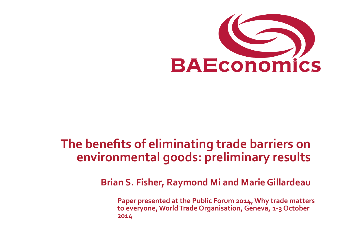

# **The benefits of eliminating trade barriers on environmental goods: preliminary results**

**Brian S. Fisher, Raymond Mi and Marie Gillardeau** 

**Paper presented at the Public Forum 2014, Why trade matters** to everyone, World Trade Organisation, Geneva, 1-3 October **2014**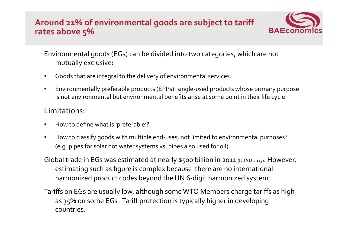#### Around 21% of environmental goods are subject to tariff rates above 5%



Environmental goods (EGs) can be divided into two categories, which are not mutually exclusive:

- Goods that are integral to the delivery of environmental services.
- Environmentally preferable products (EPPs): single-used products whose primary purpose is not environmental but environmental benefits arise at some point in their life cycle.

#### Limitations:

- How to define what is 'preferable'?
- How to classify goods with multiple end-uses, not limited to environmental purposes? (e.g. pipes for solar hot water systems vs. pipes also used for oil).
- Global trade in EGs was estimated at nearly \$500 billion in 2011 (ICTSD 2013). However, estimating such as figure is complex because there are no international harmonized product codes beyond the UN 6-digit harmonized system.
- Tariffs on EGs are usually low, although some WTO Members charge tariffs as high as 35% on some EGs. Tariff protection is typically higher in developing countries.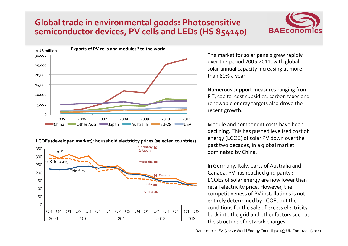## **Global trade in environmental goods: Photosensitive** semiconductor devices, PV cells and LEDs (HS 854140)



#### **LCOEs** (developed market); household electricity prices (selected countries)



The market for solar panels grew rapidly over the period 2005-2011, with global solar annual capacity increasing at more than 80% a year.

Numerous support measures ranging from FIT, capital cost subsidies, carbon taxes and renewable energy targets also drove the recent growth.

Module and component costs have been declining. This has pushed levelised cost of energy (LCOE) of solar PV down over the past two decades, in a global market dominated by China.

In Germany, Italy, parts of Australia and Canada, PV has reached grid parity : LCOEs of solar energy are now lower than retail electricity price. However, the competitiveness of PV installations is not entirely determined by LCOE, but the conditions for the sale of excess electricity back into the grid and other factors such as the structure of network charges.

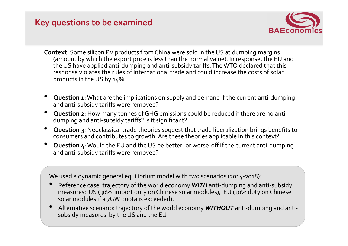## **Key questions to be examined**



- **Context**: Some silicon PV products from China were sold in the US at dumping margins (amount by which the export price is less than the normal value). In response, the EU and the US have applied anti-dumping and anti-subsidy tariffs. The WTO declared that this response violates the rules of international trade and could increase the costs of solar products in the US by  $14\%$ .
- **Question 1**: What are the implications on supply and demand if the current anti-dumping and anti-subsidy tariffs were removed?
- **Question 2**: How many tonnes of GHG emissions could be reduced if there are no antidumping and anti-subsidy tariffs? Is it significant?
- **Question 3**: Neoclassical trade theories suggest that trade liberalization brings benefits to consumers and contributes to growth. Are these theories applicable in this context?
- **Question 4**: Would the EU and the US be better- or worse-off if the current anti-dumping and anti-subsidy tariffs were removed?

We used a dynamic general equilibrium model with two scenarios (2014-2018):

- Reference case: trajectory of the world economy **WITH** anti-dumping and anti-subsidy measures:  $US$  (30% import duty on Chinese solar modules),  $EU$  (30% duty on Chinese solar modules if a 7GW quota is exceeded).
- Alternative scenario: trajectory of the world economy **WITHOUT** anti-dumping and antisubsidy measures by the US and the EU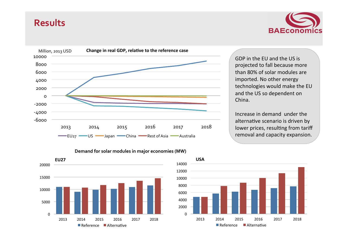### **Results**





projected to fall because more than 80% of solar modules are technologies would make the EU and the US so dependent on

Increase in demand under the alternative scenario is driven by lower prices, resulting from tariff removal and capacity expansion.





#### Demand for solar modules in major economies (MW)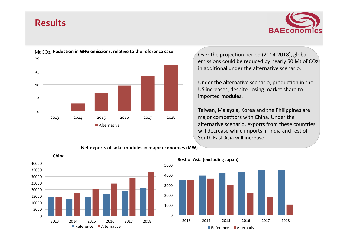### **Results**





Over the projection period (2014-2018), global emissions could be reduced by nearly 50 Mt of  $CO<sub>2</sub>$ in additional under the alternative scenario.

Under the alternative scenario, production in the US increases, despite losing market share to imported modules.

Taiwan, Malaysia, Korea and the Philippines are major competitors with China. Under the alternative scenario, exports from these countries will decrease while imports in India and rest of South East Asia will increase.

#### Net exports of solar modules in major economies (MW)